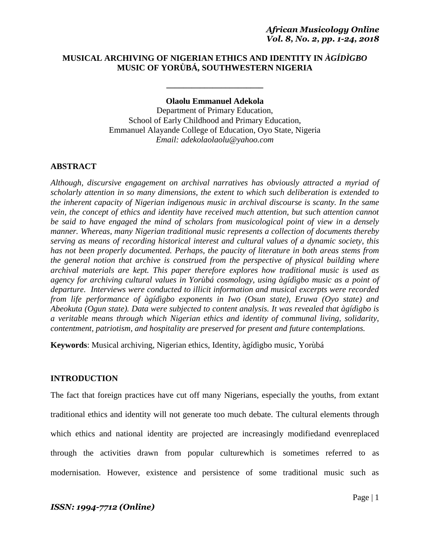# **MUSICAL ARCHIVING OF NIGERIAN ETHICS AND IDENTITY IN** *ÀGÍDÌGBO* **MUSIC OF YORÙBÁ, SOUTHWESTERN NIGERIA**

### **Olaolu Emmanuel Adekola**

**\_\_\_\_\_\_\_\_\_\_\_\_\_\_\_\_\_\_\_\_\_\_\_**

Department of Primary Education, School of Early Childhood and Primary Education, Emmanuel Alayande College of Education, Oyo State, Nigeria *Email: adekolaolaolu@yahoo.com*

# **ABSTRACT**

*Although, discursive engagement on archival narratives has obviously attracted a myriad of scholarly attention in so many dimensions, the extent to which such deliberation is extended to the inherent capacity of Nigerian indigenous music in archival discourse is scanty. In the same vein, the concept of ethics and identity have received much attention, but such attention cannot be said to have engaged the mind of scholars from musicological point of view in a densely manner. Whereas, many Nigerian traditional music represents a collection of documents thereby serving as means of recording historical interest and cultural values of a dynamic society, this has not been properly documented. Perhaps, the paucity of literature in both areas stems from the general notion that archive is construed from the perspective of physical building where archival materials are kept. This paper therefore explores how traditional music is used as agency for archiving cultural values in Yorùbá cosmology, using àgídìgbo music as a point of departure. Interviews were conducted to illicit information and musical excerpts were recorded from life performance of àgídìgbo exponents in Iwo (Osun state), Eruwa (Oyo state) and Abeokuta (Ogun state). Data were subjected to content analysis. It was revealed that àgídìgbo is a veritable means through which Nigerian ethics and identity of communal living, solidarity, contentment, patriotism, and hospitality are preserved for present and future contemplations.*

**Keywords**: Musical archiving, Nigerian ethics, Identity, àgídìgbo music*,* Yorùbá

# **INTRODUCTION**

The fact that foreign practices have cut off many Nigerians, especially the youths, from extant traditional ethics and identity will not generate too much debate. The cultural elements through which ethics and national identity are projected are increasingly modifiedand evenreplaced through the activities drawn from popular culturewhich is sometimes referred to as modernisation. However, existence and persistence of some traditional music such as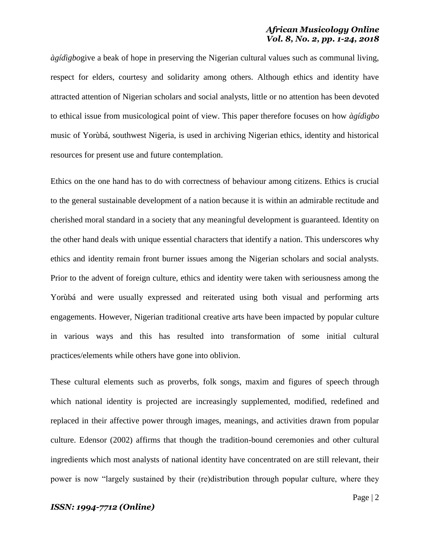*àgídìgbo*give a beak of hope in preserving the Nigerian cultural values such as communal living, respect for elders, courtesy and solidarity among others. Although ethics and identity have attracted attention of Nigerian scholars and social analysts, little or no attention has been devoted to ethical issue from musicological point of view. This paper therefore focuses on how *àgídìgbo* music of Yorùbá, southwest Nigeria, is used in archiving Nigerian ethics, identity and historical resources for present use and future contemplation.

Ethics on the one hand has to do with correctness of behaviour among citizens. Ethics is crucial to the general sustainable development of a nation because it is within an admirable rectitude and cherished moral standard in a society that any meaningful development is guaranteed. Identity on the other hand deals with unique essential characters that identify a nation. This underscores why ethics and identity remain front burner issues among the Nigerian scholars and social analysts. Prior to the advent of foreign culture, ethics and identity were taken with seriousness among the Yorùbá and were usually expressed and reiterated using both visual and performing arts engagements. However, Nigerian traditional creative arts have been impacted by popular culture in various ways and this has resulted into transformation of some initial cultural practices/elements while others have gone into oblivion.

These cultural elements such as proverbs, folk songs, maxim and figures of speech through which national identity is projected are increasingly supplemented, modified, redefined and replaced in their affective power through images, meanings, and activities drawn from popular culture. Edensor (2002) affirms that though the tradition-bound ceremonies and other cultural ingredients which most analysts of national identity have concentrated on are still relevant, their power is now "largely sustained by their (re)distribution through popular culture, where they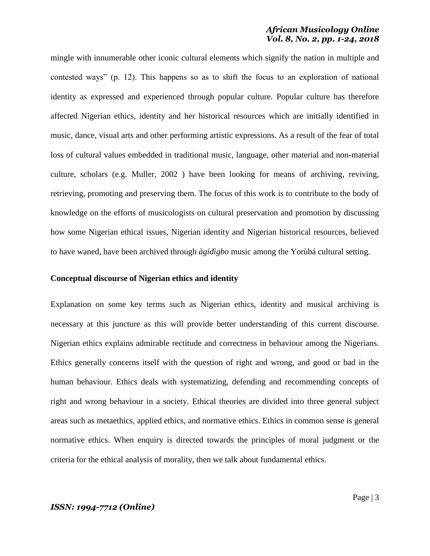mingle with innumerable other iconic cultural elements which signify the nation in multiple and contested ways" (p. 12). This happens so as to shift the focus to an exploration of national identity as expressed and experienced through popular culture. Popular culture has therefore affected Nigerian ethics, identity and her historical resources which are initially identified in music, dance, visual arts and other performing artistic expressions. As a result of the fear of total loss of cultural values embedded in traditional music, language, other material and non-material culture, scholars (e.g. Muller, 2002 ) have been looking for means of archiving, reviving, retrieving, promoting and preserving them. The focus of this work is to contribute to the body of knowledge on the efforts of musicologists on cultural preservation and promotion by discussing how some Nigerian ethical issues, Nigerian identity and Nigerian historical resources, believed to have waned, have been archived through *àgídìgbo* music among the Yorùbá cultural setting.

#### **Conceptual discourse of Nigerian ethics and identity**

Explanation on some key terms such as Nigerian ethics, identity and musical archiving is necessary at this juncture as this will provide better understanding of this current discourse. Nigerian ethics explains admirable rectitude and correctness in behaviour among the Nigerians. Ethics generally concerns itself with the question of right and wrong, and good or bad in the human behaviour. Ethics deals with systematizing, defending and recommending concepts of right and wrong behaviour in a society. Ethical theories are divided into three general subject areas such as metaethics, applied ethics, and normative ethics. Ethics in common sense is general normative ethics. When enquiry is directed towards the principles of moral judgment or the criteria for the ethical analysis of morality, then we talk about fundamental ethics.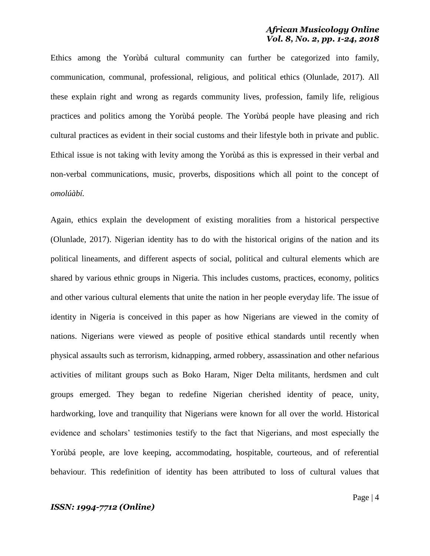Ethics among the Yorùbá cultural community can further be categorized into family, communication, communal, professional, religious, and political ethics (Olunlade, 2017). All these explain right and wrong as regards community lives, profession, family life, religious practices and politics among the Yorùbá people. The Yorùbá people have pleasing and rich cultural practices as evident in their social customs and their lifestyle both in private and public. Ethical issue is not taking with levity among the Yorùbá as this is expressed in their verbal and non-verbal communications, music, proverbs, dispositions which all point to the concept of *omolúàbí.*

Again, ethics explain the development of existing moralities from a historical perspective (Olunlade, 2017). Nigerian identity has to do with the historical origins of the nation and its political lineaments, and different aspects of social, political and cultural elements which are shared by various ethnic groups in Nigeria. This includes customs, practices, economy, politics and other various cultural elements that unite the nation in her people everyday life. The issue of identity in Nigeria is conceived in this paper as how Nigerians are viewed in the comity of nations. Nigerians were viewed as people of positive ethical standards until recently when physical assaults such as terrorism, kidnapping, armed robbery, assassination and other nefarious activities of militant groups such as Boko Haram, Niger Delta militants, herdsmen and cult groups emerged. They began to redefine Nigerian cherished identity of peace, unity, hardworking, love and tranquility that Nigerians were known for all over the world. Historical evidence and scholars" testimonies testify to the fact that Nigerians, and most especially the Yorùbá people, are love keeping, accommodating, hospitable, courteous, and of referential behaviour. This redefinition of identity has been attributed to loss of cultural values that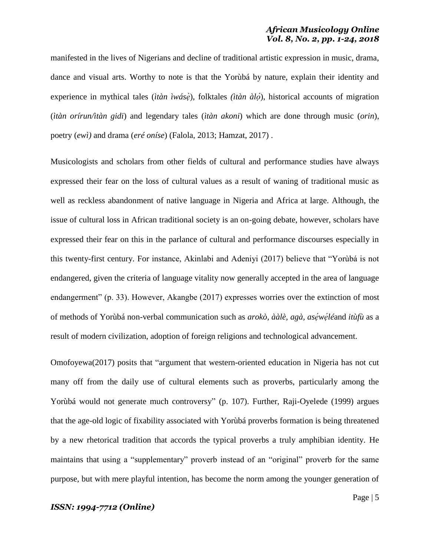manifested in the lives of Nigerians and decline of traditional artistic expression in music, drama, dance and visual arts. Worthy to note is that the Yorùbá by nature, explain their identity and experience in mythical tales *(ìtàn ìwásè)*, folktales *(ìtàn àló)*, historical accounts of migration (*ìtàn orírun/ìtàn gidi*) and legendary tales (*ìtàn akoni*) which are done through music (*orin*), poetry (*ewì)* and drama (*eré oníse*) (Falola, 2013; Hamzat, 2017) .

Musicologists and scholars from other fields of cultural and performance studies have always expressed their fear on the loss of cultural values as a result of waning of traditional music as well as reckless abandonment of native language in Nigeria and Africa at large. Although, the issue of cultural loss in African traditional society is an on-going debate, however, scholars have expressed their fear on this in the parlance of cultural and performance discourses especially in this twenty-first century. For instance, Akinlabi and Adeniyi (2017) believe that "Yorùbá is not endangered, given the criteria of language vitality now generally accepted in the area of language endangerment" (p. 33). However, Akangbe (2017) expresses worries over the extinction of most of methods of Yorùbá non-verbal communication such as *arokò, ààlè, agà, asẹ́wẹ́ lé*and *itùfù* as a result of modern civilization, adoption of foreign religions and technological advancement.

Omofoyewa(2017) posits that "argument that western-oriented education in Nigeria has not cut many off from the daily use of cultural elements such as proverbs, particularly among the Yorùbá would not generate much controversy" (p. 107). Further, Raji-Oyelede (1999) argues that the age-old logic of fixability associated with Yorùbá proverbs formation is being threatened by a new rhetorical tradition that accords the typical proverbs a truly amphibian identity. He maintains that using a "supplementary" proverb instead of an "original" proverb for the same purpose, but with mere playful intention, has become the norm among the younger generation of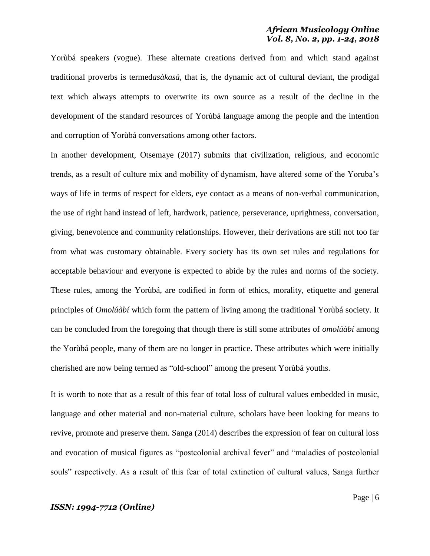Yorùbá speakers (vogue). These alternate creations derived from and which stand against traditional proverbs is termed*asàkasà*, that is, the dynamic act of cultural deviant, the prodigal text which always attempts to overwrite its own source as a result of the decline in the development of the standard resources of Yorùbá language among the people and the intention and corruption of Yorùbá conversations among other factors.

In another development, Otsemaye (2017) submits that civilization, religious, and economic trends, as a result of culture mix and mobility of dynamism, have altered some of the Yoruba"s ways of life in terms of respect for elders, eye contact as a means of non-verbal communication, the use of right hand instead of left, hardwork, patience, perseverance, uprightness, conversation, giving, benevolence and community relationships. However, their derivations are still not too far from what was customary obtainable. Every society has its own set rules and regulations for acceptable behaviour and everyone is expected to abide by the rules and norms of the society. These rules, among the Yorùbá, are codified in form of ethics, morality, etiquette and general principles of *Omolúàbí* which form the pattern of living among the traditional Yorùbá society*.* It can be concluded from the foregoing that though there is still some attributes of *omolúàbí* among the Yorùbá people, many of them are no longer in practice. These attributes which were initially cherished are now being termed as "old-school" among the present Yorùbá youths.

It is worth to note that as a result of this fear of total loss of cultural values embedded in music, language and other material and non-material culture, scholars have been looking for means to revive, promote and preserve them. Sanga (2014) describes the expression of fear on cultural loss and evocation of musical figures as "postcolonial archival fever" and "maladies of postcolonial souls" respectively. As a result of this fear of total extinction of cultural values, Sanga further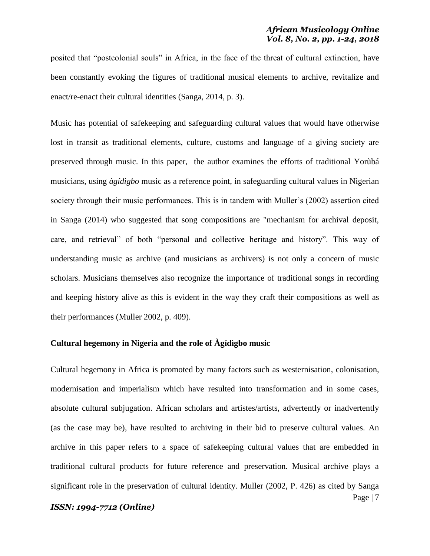posited that "postcolonial souls" in Africa, in the face of the threat of cultural extinction, have been constantly evoking the figures of traditional musical elements to archive, revitalize and enact/re-enact their cultural identities (Sanga, 2014, p. 3).

Music has potential of safekeeping and safeguarding cultural values that would have otherwise lost in transit as traditional elements, culture, customs and language of a giving society are preserved through music. In this paper, the author examines the efforts of traditional Yorùbá musicians, using *àgídìgbo* music as a reference point, in safeguarding cultural values in Nigerian society through their music performances. This is in tandem with Muller's (2002) assertion cited in Sanga (2014) who suggested that song compositions are "mechanism for archival deposit, care, and retrieval" of both "personal and collective heritage and history". This way of understanding music as archive (and musicians as archivers) is not only a concern of music scholars. Musicians themselves also recognize the importance of traditional songs in recording and keeping history alive as this is evident in the way they craft their compositions as well as their performances (Muller 2002, p. 409).

# **Cultural hegemony in Nigeria and the role of Àgídìgbo music**

Page | 7 Cultural hegemony in Africa is promoted by many factors such as westernisation, colonisation, modernisation and imperialism which have resulted into transformation and in some cases, absolute cultural subjugation. African scholars and artistes/artists, advertently or inadvertently (as the case may be), have resulted to archiving in their bid to preserve cultural values. An archive in this paper refers to a space of safekeeping cultural values that are embedded in traditional cultural products for future reference and preservation. Musical archive plays a significant role in the preservation of cultural identity. Muller (2002, P. 426) as cited by Sanga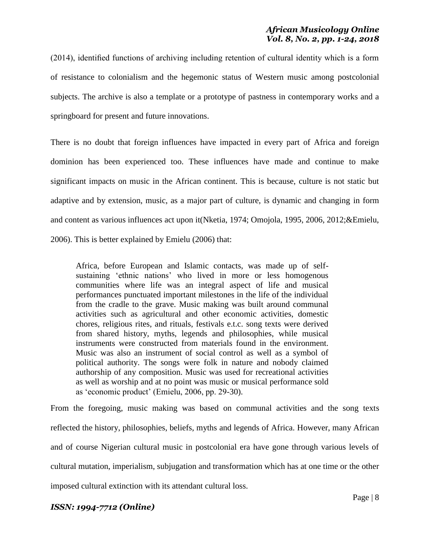(2014), identified functions of archiving including retention of cultural identity which is a form of resistance to colonialism and the hegemonic status of Western music among postcolonial subjects. The archive is also a template or a prototype of pastness in contemporary works and a springboard for present and future innovations.

There is no doubt that foreign influences have impacted in every part of Africa and foreign dominion has been experienced too. These influences have made and continue to make significant impacts on music in the African continent. This is because, culture is not static but adaptive and by extension, music, as a major part of culture, is dynamic and changing in form and content as various influences act upon it(Nketia, 1974; Omojola, 1995, 2006, 2012;&Emielu, 2006). This is better explained by Emielu (2006) that:

Africa, before European and Islamic contacts, was made up of selfsustaining 'ethnic nations' who lived in more or less homogenous communities where life was an integral aspect of life and musical performances punctuated important milestones in the life of the individual from the cradle to the grave. Music making was built around communal activities such as agricultural and other economic activities, domestic chores, religious rites, and rituals, festivals e.t.c. song texts were derived from shared history, myths, legends and philosophies, while musical instruments were constructed from materials found in the environment. Music was also an instrument of social control as well as a symbol of political authority. The songs were folk in nature and nobody claimed authorship of any composition. Music was used for recreational activities as well as worship and at no point was music or musical performance sold as "economic product" (Emielu, 2006, pp. 29-30).

From the foregoing, music making was based on communal activities and the song texts reflected the history, philosophies, beliefs, myths and legends of Africa. However, many African and of course Nigerian cultural music in postcolonial era have gone through various levels of cultural mutation, imperialism, subjugation and transformation which has at one time or the other imposed cultural extinction with its attendant cultural loss.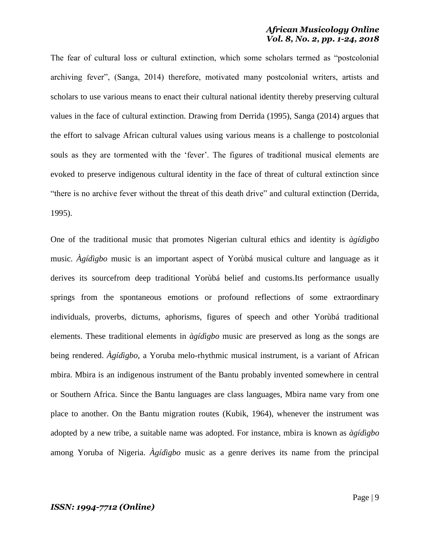The fear of cultural loss or cultural extinction, which some scholars termed as "postcolonial archiving fever", (Sanga, 2014) therefore, motivated many postcolonial writers, artists and scholars to use various means to enact their cultural national identity thereby preserving cultural values in the face of cultural extinction. Drawing from Derrida (1995), Sanga (2014) argues that the effort to salvage African cultural values using various means is a challenge to postcolonial souls as they are tormented with the 'fever'. The figures of traditional musical elements are evoked to preserve indigenous cultural identity in the face of threat of cultural extinction since "there is no archive fever without the threat of this death drive" and cultural extinction (Derrida, 1995).

One of the traditional music that promotes Nigerian cultural ethics and identity is *àgídìgbo* music. *Àgídìgbo* music is an important aspect of Yorùbá musical culture and language as it derives its sourcefrom deep traditional Yorùbá belief and customs.Its performance usually springs from the spontaneous emotions or profound reflections of some extraordinary individuals, proverbs, dictums, aphorisms, figures of speech and other Yorùbá traditional elements. These traditional elements in *àgídìgbo* music are preserved as long as the songs are being rendered. *Àgídìgbo*, a Yoruba melo-rhythmic musical instrument, is a variant of African mbira. Mbira is an indigenous instrument of the Bantu probably invented somewhere in central or Southern Africa. Since the Bantu languages are class languages, Mbira name vary from one place to another. On the Bantu migration routes (Kubik, 1964), whenever the instrument was adopted by a new tribe, a suitable name was adopted. For instance, mbira is known as *àgídìgbo* among Yoruba of Nigeria. *Àgídìgbo* music as a genre derives its name from the principal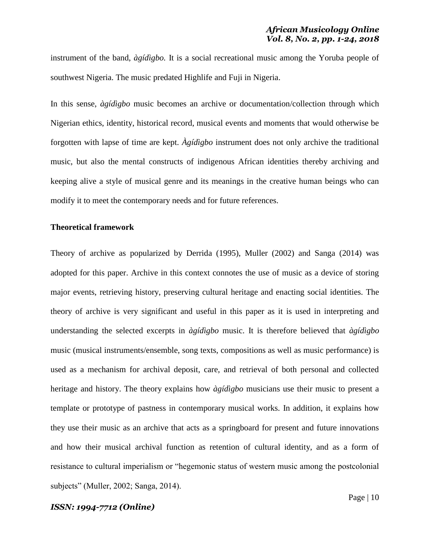instrument of the band, *àgídìgbo.* It is a social recreational music among the Yoruba people of southwest Nigeria. The music predated Highlife and Fuji in Nigeria.

In this sense, *àgídìgbo* music becomes an archive or documentation/collection through which Nigerian ethics, identity, historical record, musical events and moments that would otherwise be forgotten with lapse of time are kept. *Àgídìgbo* instrument does not only archive the traditional music, but also the mental constructs of indigenous African identities thereby archiving and keeping alive a style of musical genre and its meanings in the creative human beings who can modify it to meet the contemporary needs and for future references.

#### **Theoretical framework**

Theory of archive as popularized by Derrida (1995), Muller (2002) and Sanga (2014) was adopted for this paper. Archive in this context connotes the use of music as a device of storing major events, retrieving history, preserving cultural heritage and enacting social identities. The theory of archive is very significant and useful in this paper as it is used in interpreting and understanding the selected excerpts in *àgídìgbo* music. It is therefore believed that *àgídìgbo* music (musical instruments/ensemble, song texts, compositions as well as music performance) is used as a mechanism for archival deposit, care, and retrieval of both personal and collected heritage and history. The theory explains how *àgídìgbo* musicians use their music to present a template or prototype of pastness in contemporary musical works. In addition, it explains how they use their music as an archive that acts as a springboard for present and future innovations and how their musical archival function as retention of cultural identity, and as a form of resistance to cultural imperialism or "hegemonic status of western music among the postcolonial subjects" (Muller, 2002; Sanga, 2014).

Page | 10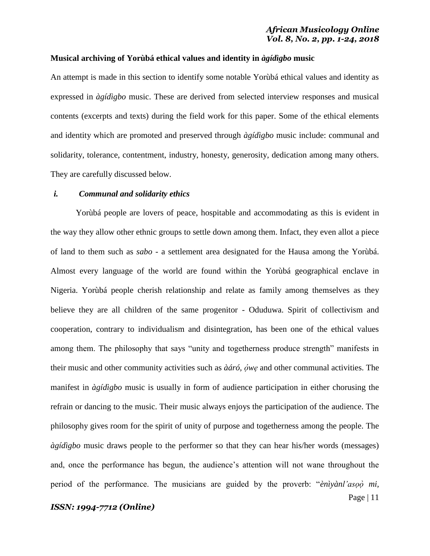# **Musical archiving of Yorùbá ethical values and identity in** *àgídìgbo* **music**

An attempt is made in this section to identify some notable Yorùbá ethical values and identity as expressed in *àgídìgbo* music. These are derived from selected interview responses and musical contents (excerpts and texts) during the field work for this paper. Some of the ethical elements and identity which are promoted and preserved through *àgídìgbo* music include: communal and solidarity, tolerance, contentment, industry, honesty, generosity, dedication among many others. They are carefully discussed below.

#### *i. Communal and solidarity ethics*

Yorùbá people are lovers of peace, hospitable and accommodating as this is evident in the way they allow other ethnic groups to settle down among them. Infact, they even allot a piece of land to them such as *sabo -* a settlement area designated for the Hausa among the Yorùbá. Almost every language of the world are found within the Yorùbá geographical enclave in Nigeria. Yorùbá people cherish relationship and relate as family among themselves as they believe they are all children of the same progenitor - Oduduwa. Spirit of collectivism and cooperation, contrary to individualism and disintegration, has been one of the ethical values among them. The philosophy that says "unity and togetherness produce strength" manifests in their music and other community activities such as *àáró, ọ́wẹ* and other communal activities. The manifest in *àgídìgbo* music is usually in form of audience participation in either chorusing the refrain or dancing to the music. Their music always enjoys the participation of the audience. The philosophy gives room for the spirit of unity of purpose and togetherness among the people. The *àgídìgbo* music draws people to the performer so that they can hear his/her words (messages) and, once the performance has begun, the audience"s attention will not wane throughout the period of the performance. The musicians are guided by the proverb: "*ènìyànl'asọọ̀ mi,*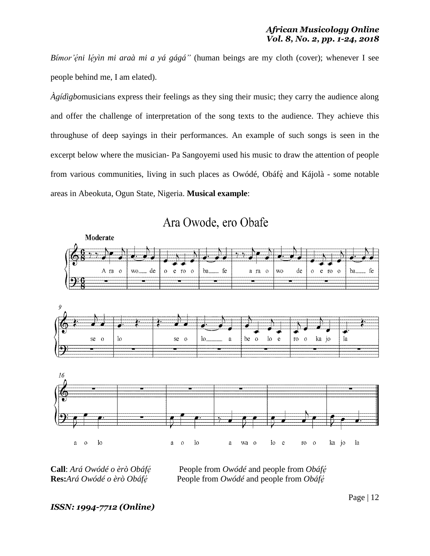*Bímor'ẹ́ni lẹ́yìn mi araà mi a yá gágá"* (human beings are my cloth (cover); whenever I see people behind me, I am elated).

*Àgídìgbo*musicians express their feelings as they sing their music; they carry the audience along and offer the challenge of interpretation of the song texts to the audience. They achieve this throughuse of deep sayings in their performances. An example of such songs is seen in the excerpt below where the musician- Pa Sangoyemi used his music to draw the attention of people from various communities, living in such places as Owódé, Obáfè and Kájolà - some notable areas in Abeokuta, Ogun State, Nigeria. **Musical example**:



Ara Owode, ero Obafe

**Call**: *Ará Owódé o èrò Obáfę́* People from *Owódé* and people from *Obáfę́*<br> **Res:** *Ará Owódé o èrò Obáfé* People from *Owódé* and people from *Obáfe*<sup>*i*</sup> *Reople from <i>Owódé* and people from *Obáfé* 

# *ISSN: 1994-7712 (Online)*

Page | 12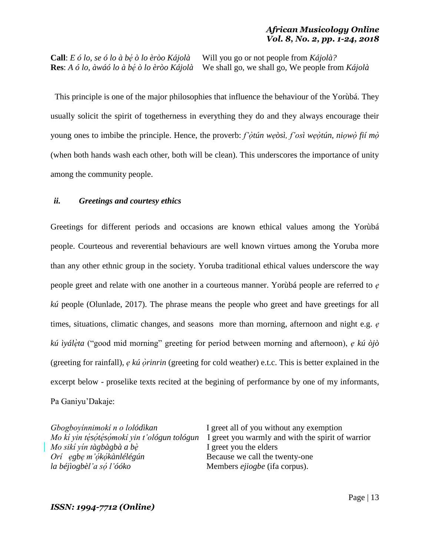**Call**: *E ó lo, se ó lo à bẹ́ ò lo èròo Kájolà* Will you go or not people from *Kájolà?* **Res**: *A ó lo, àwáó lo à bẹ́ ò lo èròo Kájolà* We shall go, we shall go, We people from *Kájolà*

 This principle is one of the major philosophies that influence the behaviour of the Yorùbá. They usually solicit the spirit of togetherness in everything they do and they always encourage their young ones to imbibe the principle. Hence, the proverb: *f'ọ̀ tún wẹòsì, f'osì wẹọ̀ tún, niọwọ̀ fií mọ̀* (when both hands wash each other, both will be clean). This underscores the importance of unity among the community people.

# *ii. Greetings and courtesy ethics*

Greetings for different periods and occasions are known ethical values among the Yorùbá people. Courteous and reverential behaviours are well known virtues among the Yoruba more than any other ethnic group in the society. Yoruba traditional ethical values underscore the way people greet and relate with one another in a courteous manner. Yorùbá people are referred to *ẹ kú* people (Olunlade, 2017). The phrase means the people who greet and have greetings for all times, situations, climatic changes, and seasons more than morning, afternoon and night e.g. *ẹ kú ìyálẹ̀ ta* ("good mid morning" greeting for period between morning and afternoon), *ẹ kú òjò*  (greeting for rainfall), *ẹ kú ọ̀rinrin* (greeting for cold weather) e.t.c. This is better explained in the excerpt below - proselike texts recited at the begining of performance by one of my informants, Pa Ganiyu"Dakaje:

*Mo kí yin tésótésómokí yin t'ológun tológun Mo sikí yín tàgbàgbà a bè*<br>*Orí* egbe m'ókókànlélégún *la béjìogbèl'a sọ́*

*Gbogboyínnimokí n o lolódìkan* I greet all of you without any exemption *I* greet you warmly and with the spirit of warrior *I* greet you the elders Because we call the twenty-one *l'óóko* Members *ejiogbe* (ifa corpus).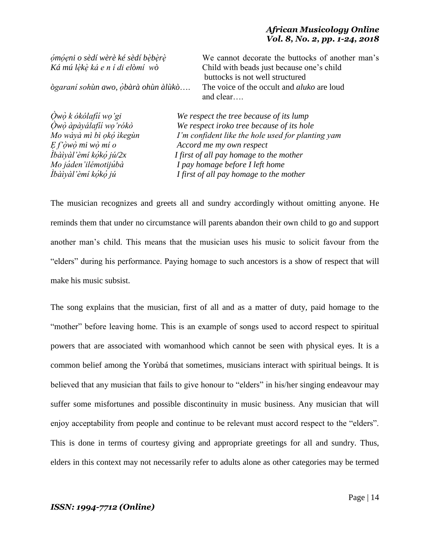*Ọ̀wọ̀ k ókólafí Ọ̀wọ̀ àpàyálafí Mo* wàyà mì bì ọkợ ìkegùn<br>E f'òwò mi wò mí o *Ìbàìyàl'èmí kókó jú/2x Ìbàìyàl'èmí kọ́kọ́*

*ọ́mọ́ẹni o sèdí wèrè ké sèdí bẹ̀bẹ̀rẹ̀* We cannot decorate the buttocks of another man"s *Ká mú lẹ̀kẹ̀ ká e n í di elòmí wò* Child with beads just because one"s child buttocks is not well structured *ògaraní sohùn awo, ọ̀bàrà ohùn àlùkò*…. The voice of the occult and *aluko* are loud and clear….

We respect the tree because of its lump *We respect iroko tree because of its hole I'm confident like the hole used for planting vam Ẹ f'ọ̀wọ̀ mi wọ̀ mí o Accord me my own respect I* first of all pay homage to the mother *Mo jáden'ilémotijúbà I pay homage before I left home I* first of all pay homage to the mother

The musician recognizes and greets all and sundry accordingly without omitting anyone. He reminds them that under no circumstance will parents abandon their own child to go and support another man"s child. This means that the musician uses his music to solicit favour from the "elders" during his performance. Paying homage to such ancestors is a show of respect that will make his music subsist.

The song explains that the musician, first of all and as a matter of duty, paid homage to the "mother" before leaving home. This is an example of songs used to accord respect to spiritual powers that are associated with womanhood which cannot be seen with physical eyes. It is a common belief among the Yorùbá that sometimes, musicians interact with spiritual beings. It is believed that any musician that fails to give honour to "elders" in his/her singing endeavour may suffer some misfortunes and possible discontinuity in music business. Any musician that will enjoy acceptability from people and continue to be relevant must accord respect to the "elders". This is done in terms of courtesy giving and appropriate greetings for all and sundry. Thus, elders in this context may not necessarily refer to adults alone as other categories may be termed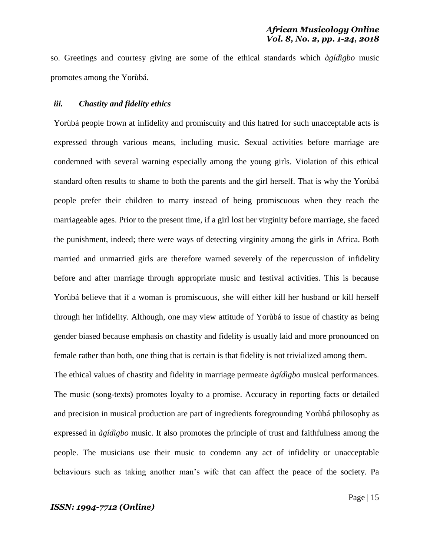so. Greetings and courtesy giving are some of the ethical standards which *àgídìgbo* music promotes among the Yorùbá.

### *iii. Chastity and fidelity ethics*

Yorùbá people frown at infidelity and promiscuity and this hatred for such unacceptable acts is expressed through various means, including music. Sexual activities before marriage are condemned with several warning especially among the young girls. Violation of this ethical standard often results to shame to both the parents and the girl herself. That is why the Yorùbá people prefer their children to marry instead of being promiscuous when they reach the marriageable ages. Prior to the present time, if a girl lost her virginity before marriage, she faced the punishment, indeed; there were ways of detecting virginity among the girls in Africa. Both married and unmarried girls are therefore warned severely of the repercussion of infidelity before and after marriage through appropriate music and festival activities. This is because Yorùbá believe that if a woman is promiscuous, she will either kill her husband or kill herself through her infidelity. Although, one may view attitude of Yorùbá to issue of chastity as being gender biased because emphasis on chastity and fidelity is usually laid and more pronounced on female rather than both, one thing that is certain is that fidelity is not trivialized among them.

The ethical values of chastity and fidelity in marriage permeate *àgídìgbo* musical performances. The music (song-texts) promotes loyalty to a promise. Accuracy in reporting facts or detailed and precision in musical production are part of ingredients foregrounding Yorùbá philosophy as expressed in *àgídìgbo* music. It also promotes the principle of trust and faithfulness among the people. The musicians use their music to condemn any act of infidelity or unacceptable behaviours such as taking another man's wife that can affect the peace of the society. Pa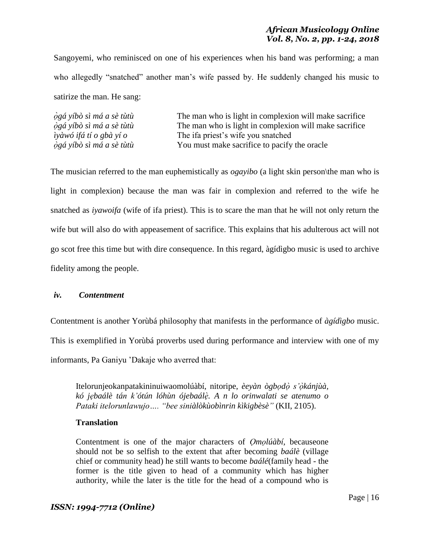Sangoyemi, who reminisced on one of his experiences when his band was performing; a man who allegedly "snatched" another man's wife passed by. He suddenly changed his music to satirize the man. He sang:

| ògá yíbò sì má a sè tùtù       | The man who is light in complexion will make sacrifice |
|--------------------------------|--------------------------------------------------------|
| ògá yíbò sì má a sè tùtù       | The man who is light in complexion will make sacrifice |
| <i>iyàwó ifá tí o gbà yí o</i> | The ifa priest's wife you snatched                     |
| ògá yíbò sì má a sè tùtù       | You must make sacrifice to pacify the oracle           |

The musician referred to the man euphemistically as *ogayibo* (a light skin person\the man who is light in complexion) because the man was fair in complexion and referred to the wife he snatched as *iyawoifa* (wife of ifa priest). This is to scare the man that he will not only return the wife but will also do with appeasement of sacrifice. This explains that his adulterous act will not go scot free this time but with dire consequence. In this regard, àgídìgbo music is used to archive fidelity among the people.

# *iv. Contentment*

Contentment is another Yorùbá philosophy that manifests in the performance of *àgídìgbo* music.

This is exemplified in Yorùbá proverbs used during performance and interview with one of my

informants, Pa Ganiyu "Dakaje who averred that:

Itelorunjeokanpatakininuiwaomolúàbí, nitoripe, *èeyàn ògbọdọ̀ s'ọ̀kánjùà, kó jẹbaálè tán k'ótún lóhùn ójebaálẹ̀ . A n lo orinwalati se atenumo o Pataki itelorunlawujo…. "bee siniàlòkùobìnrin kìkigbèsè"* (KII, 2105).

# **Translation**

Contentment is one of the major characters of *Ọmọlúàbí*, becauseone should not be so selfish to the extent that after becoming *baálè* (village chief or community head) he still wants to become *baálé*(family head - the former is the title given to head of a community which has higher authority, while the later is the title for the head of a compound who is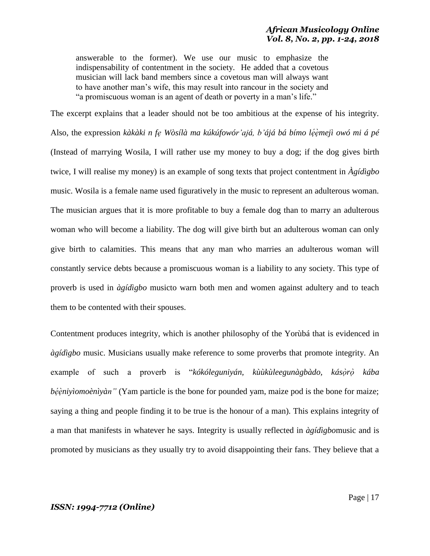answerable to the former). We use our music to emphasize the indispensability of contentment in the society. He added that a covetous musician will lack band members since a covetous man will always want to have another man"s wife, this may result into rancour in the society and "a promiscuous woman is an agent of death or poverty in a man"s life."

The excerpt explains that a leader should not be too ambitious at the expense of his integrity. Also, the expression *kàkàki n fẹ Wòsílà ma kúkúfowór'ajá, b'ájá bá bímo lẹ́ẹ̀mejì owó mi á pé* (Instead of marrying Wosila, I will rather use my money to buy a dog; if the dog gives birth twice, I will realise my money) is an example of song texts that project contentment in *Àgídìgbo* music. Wosila is a female name used figuratively in the music to represent an adulterous woman. The musician argues that it is more profitable to buy a female dog than to marry an adulterous woman who will become a liability. The dog will give birth but an adulterous woman can only give birth to calamities. This means that any man who marries an adulterous woman will constantly service debts because a promiscuous woman is a liability to any society. This type of proverb is used in *àgídìgbo* musicto warn both men and women against adultery and to teach them to be contented with their spouses.

Contentment produces integrity, which is another philosophy of the Yorùbá that is evidenced in *àgídìgbo* music. Musicians usually make reference to some proverbs that promote integrity. An example of such a proverb is "*kókóleguniyán, kùùkùleegunàgbàdo, kásọ̀rọ̀ kába bė́eniyìomoènìyàn"* (Yam particle is the bone for pounded yam, maize pod is the bone for maize; saying a thing and people finding it to be true is the honour of a man). This explains integrity of a man that manifests in whatever he says. Integrity is usually reflected in *àgídìgbo*music and is promoted by musicians as they usually try to avoid disappointing their fans. They believe that a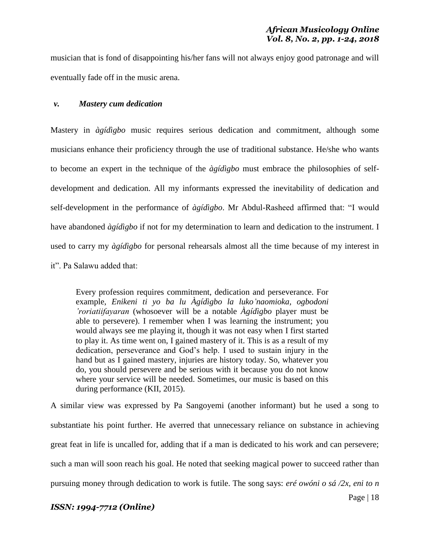musician that is fond of disappointing his/her fans will not always enjoy good patronage and will eventually fade off in the music arena.

### *v. Mastery cum dedication*

Mastery in *àgídìgbo* music requires serious dedication and commitment, although some musicians enhance their proficiency through the use of traditional substance. He/she who wants to become an expert in the technique of the *àgídìgbo* must embrace the philosophies of selfdevelopment and dedication. All my informants expressed the inevitability of dedication and self-development in the performance of *àgídìgbo*. Mr Abdul-Rasheed affirmed that: "I would have abandoned *àgídìgbo* if not for my determination to learn and dedication to the instrument. I used to carry my *àgídìgbo* for personal rehearsals almost all the time because of my interest in it". Pa Salawu added that:

Every profession requires commitment, dedication and perseverance. For example, *Enikeni ti yo ba lu Àgídìgbo la luko'naomioka, ogbodoni 'roriatiifayaran* (whosoever will be a notable *Àgídìgbo* player must be able to persevere). I remember when I was learning the instrument; you would always see me playing it, though it was not easy when I first started to play it. As time went on, I gained mastery of it. This is as a result of my dedication, perseverance and God"s help. I used to sustain injury in the hand but as I gained mastery, injuries are history today. So, whatever you do, you should persevere and be serious with it because you do not know where your service will be needed. Sometimes, our music is based on this during performance (KII, 2015).

A similar view was expressed by Pa Sangoyemi (another informant) but he used a song to substantiate his point further. He averred that unnecessary reliance on substance in achieving great feat in life is uncalled for, adding that if a man is dedicated to his work and can persevere; such a man will soon reach his goal. He noted that seeking magical power to succeed rather than pursuing money through dedication to work is futile. The song says: *eré owóni o sá /2x, eni to n*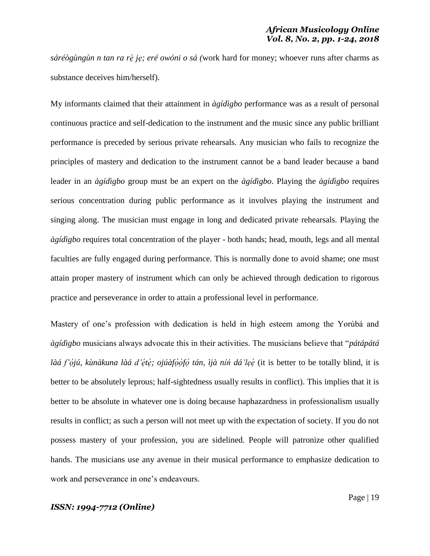*sáréògùngùn n tan ra rẹ̀ jẹ; eré owóni o sá (*work hard for money; whoever runs after charms as substance deceives him/herself).

My informants claimed that their attainment in *àgídìgbo* performance was as a result of personal continuous practice and self-dedication to the instrument and the music since any public brilliant performance is preceded by serious private rehearsals. Any musician who fails to recognize the principles of mastery and dedication to the instrument cannot be a band leader because a band leader in an *àgídìgbo* group must be an expert on the *àgídìgbo*. Playing the *àgídìgbo* requires serious concentration during public performance as it involves playing the instrument and singing along. The musician must engage in long and dedicated private rehearsals. Playing the *àgídìgbo* requires total concentration of the player - both hands; head, mouth, legs and all mental faculties are fully engaged during performance. This is normally done to avoid shame; one must attain proper mastery of instrument which can only be achieved through dedication to rigorous practice and perseverance in order to attain a professional level in performance.

Mastery of one"s profession with dedication is held in high esteem among the Yorùbá and *àgídìgbo* musicians always advocate this in their activities. The musicians believe that "*pátápátá làá f'ọ́jú, kùnàkuna làá d'ẹ́tè; ojúàfọ́òfọ́ tán, ìjà nín dá'lẹè (it is better to be totally blind, it is* better to be absolutely leprous; half-sightedness usually results in conflict). This implies that it is better to be absolute in whatever one is doing because haphazardness in professionalism usually results in conflict; as such a person will not meet up with the expectation of society. If you do not possess mastery of your profession, you are sidelined. People will patronize other qualified hands. The musicians use any avenue in their musical performance to emphasize dedication to work and perseverance in one's endeavours.

# *ISSN: 1994-7712 (Online)*

Page | 19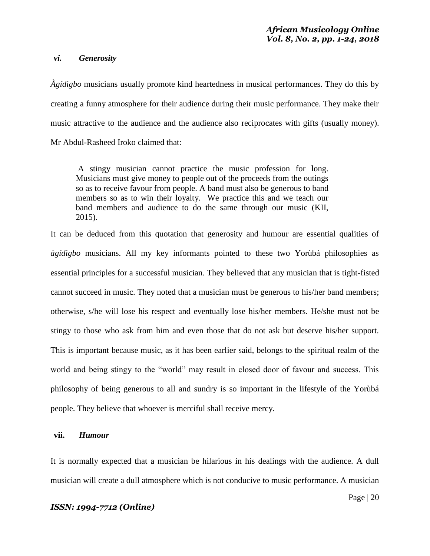#### *vi. Generosity*

*Àgídìgbo* musicians usually promote kind heartedness in musical performances. They do this by creating a funny atmosphere for their audience during their music performance. They make their music attractive to the audience and the audience also reciprocates with gifts (usually money). Mr Abdul-Rasheed Iroko claimed that:

A stingy musician cannot practice the music profession for long. Musicians must give money to people out of the proceeds from the outings so as to receive favour from people. A band must also be generous to band members so as to win their loyalty. We practice this and we teach our band members and audience to do the same through our music (KII, 2015).

It can be deduced from this quotation that generosity and humour are essential qualities of *àgídìgbo* musicians. All my key informants pointed to these two Yorùbá philosophies as essential principles for a successful musician. They believed that any musician that is tight-fisted cannot succeed in music. They noted that a musician must be generous to his/her band members; otherwise, s/he will lose his respect and eventually lose his/her members. He/she must not be stingy to those who ask from him and even those that do not ask but deserve his/her support. This is important because music, as it has been earlier said, belongs to the spiritual realm of the world and being stingy to the "world" may result in closed door of favour and success. This philosophy of being generous to all and sundry is so important in the lifestyle of the Yorùbá people. They believe that whoever is merciful shall receive mercy.

#### **vii.** *Humour*

It is normally expected that a musician be hilarious in his dealings with the audience. A dull musician will create a dull atmosphere which is not conducive to music performance. A musician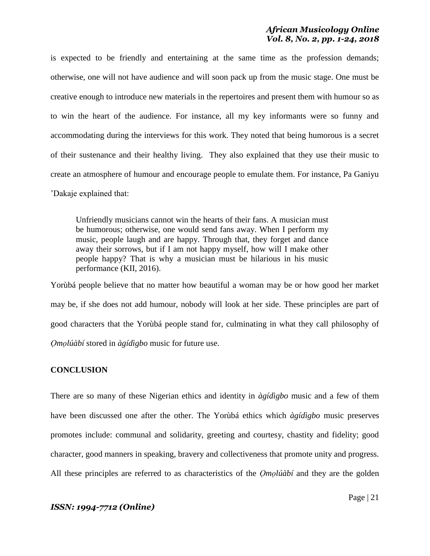is expected to be friendly and entertaining at the same time as the profession demands; otherwise, one will not have audience and will soon pack up from the music stage. One must be creative enough to introduce new materials in the repertoires and present them with humour so as to win the heart of the audience. For instance, all my key informants were so funny and accommodating during the interviews for this work. They noted that being humorous is a secret of their sustenance and their healthy living. They also explained that they use their music to create an atmosphere of humour and encourage people to emulate them. For instance, Pa Ganiyu "Dakaje explained that:

Unfriendly musicians cannot win the hearts of their fans. A musician must be humorous; otherwise, one would send fans away. When I perform my music, people laugh and are happy. Through that, they forget and dance away their sorrows, but if I am not happy myself, how will I make other people happy? That is why a musician must be hilarious in his music performance (KII, 2016).

Yorùbá people believe that no matter how beautiful a woman may be or how good her market may be, if she does not add humour, nobody will look at her side. These principles are part of good characters that the Yorùbá people stand for, culminating in what they call philosophy of *Ọmọlúàbí* stored in *àgídìgbo* music for future use.

#### **CONCLUSION**

There are so many of these Nigerian ethics and identity in *àgídìgbo* music and a few of them have been discussed one after the other. The Yorùbá ethics which *àgídìgbo* music preserves promotes include: communal and solidarity, greeting and courtesy, chastity and fidelity; good character, good manners in speaking, bravery and collectiveness that promote unity and progress. All these principles are referred to as characteristics of the *Ọmọlúàbí* and they are the golden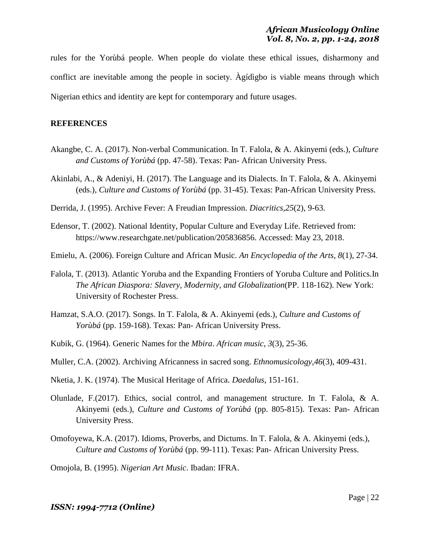rules for the Yorùbá people. When people do violate these ethical issues, disharmony and conflict are inevitable among the people in society. Àgídìgbo is viable means through which Nigerian ethics and identity are kept for contemporary and future usages.

### **REFERENCES**

- Akangbe, C. A. (2017). Non-verbal Communication. In T. Falola, & A. Akinyemi (eds.), *Culture and Customs of Yorùbá* (pp. 47-58). Texas: Pan- African University Press.
- Akinlabi, A., & Adeniyi, H. (2017). The Language and its Dialects. In T. Falola, & A. Akinyemi (eds.), *Culture and Customs of Yorùbá* (pp. 31-45). Texas: Pan-African University Press.
- Derrida, J. (1995). Archive Fever: A Freudian Impression. *Diacritics,25*(2), 9-63.
- Edensor, T. (2002). National Identity, Popular Culture and Everyday Life. Retrieved from: https://www.researchgate.net/publication/205836856. Accessed: May 23, 2018.
- Emielu, A. (2006). Foreign Culture and African Music. *An Encyclopedia of the Arts, 8*(1), 27-34.
- Falola, T. (2013). Atlantic Yoruba and the Expanding Frontiers of Yoruba Culture and Politics.In *The African Diaspora: Slavery, Modernity, and Globalization*(PP. 118-162). New York: University of Rochester Press.
- Hamzat, S.A.O. (2017). Songs. In T. Falola, & A. Akinyemi (eds.), *Culture and Customs of Yorùbá* (pp. 159-168). Texas: Pan- African University Press.
- Kubik, G. (1964). Generic Names for the *Mbira*. *African music*, *3*(3), 25-36.
- Muller, C.A. (2002). Archiving Africanness in sacred song. *Ethnomusicology,46*(3), 409-431.
- Nketia, J. K. (1974). The Musical Heritage of Africa. *Daedalus*, 151-161.
- Olunlade, F.(2017). Ethics, social control, and management structure. In T. Falola, & A. Akinyemi (eds.), *Culture and Customs of Yorùbá* (pp. 805-815). Texas: Pan- African University Press.
- Omofoyewa, K.A. (2017). Idioms, Proverbs, and Dictums. In T. Falola, & A. Akinyemi (eds.), *Culture and Customs of Yorùbá* (pp. 99-111). Texas: Pan- African University Press.

Omojola, B. (1995). *Nigerian Art Music*. Ibadan: IFRA.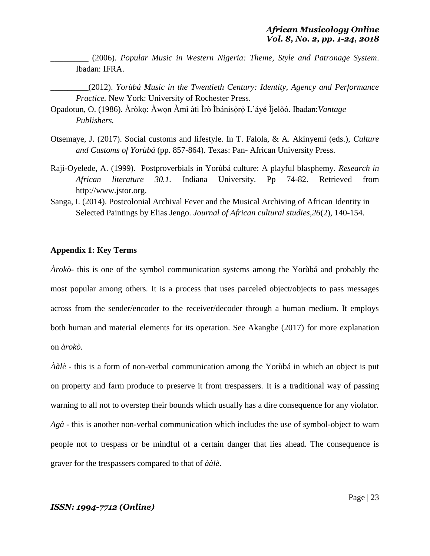\_\_\_\_\_\_\_\_\_ (2006). *Popular Music in Western Nigeria: Theme, Style and Patronage System*. Ibadan: IFRA.

\_\_\_\_\_\_\_\_\_(2012). *Yorùbá Music in the Twentieth Century: Identity, Agency and Performance Practice.* New York: University of Rochester Press.

- Opadotun, O. (1986). Àròkọ: Àwọn Àmì àti Ìrò Ìbánisọ̀rọ̀ L"áyé Ìjelòó. Ibadan:*Vantage Publishers.*
- Otsemaye, J. (2017). Social customs and lifestyle. In T. Falola, & A. Akinyemi (eds.), *Culture and Customs of Yorùbá* (pp. 857-864). Texas: Pan- African University Press.
- Raji-Oyelede, A. (1999). Postproverbials in Yorùbá culture: A playful blasphemy. *Research in African literature 30.1.* Indiana University. Pp 74-82. Retrieved from http://www.jstor.org.
- Sanga, I. (2014). Postcolonial Archival Fever and the Musical Archiving of African Identity in Selected Paintings by Elias Jengo. *Journal of African cultural studies,26*(2), 140-154.

### **Appendix 1: Key Terms**

*Àrokò*- this is one of the symbol communication systems among the Yorùbá and probably the most popular among others. It is a process that uses parceled object/objects to pass messages across from the sender/encoder to the receiver/decoder through a human medium. It employs both human and material elements for its operation. See Akangbe (2017) for more explanation on *àrokò.*

*Ààlè* - this is a form of non-verbal communication among the Yorùbá in which an object is put on property and farm produce to preserve it from trespassers. It is a traditional way of passing warning to all not to overstep their bounds which usually has a dire consequence for any violator. *Agà* - this is another non-verbal communication which includes the use of symbol-object to warn people not to trespass or be mindful of a certain danger that lies ahead. The consequence is graver for the trespassers compared to that of *ààlè*.